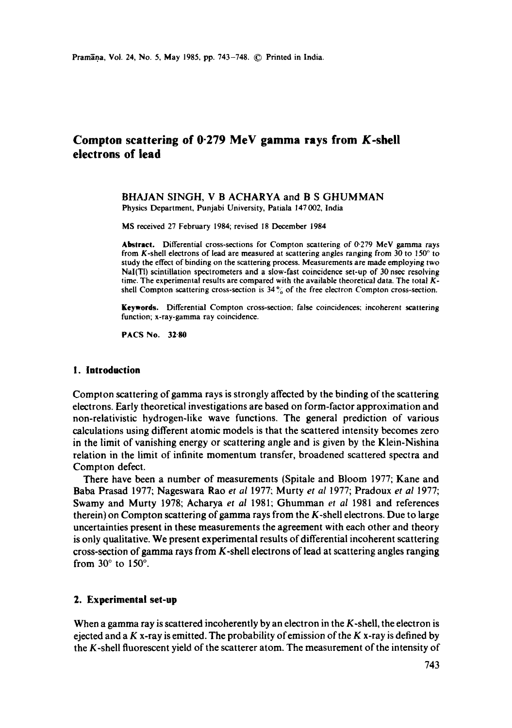# **Compton scattering of 0-279 MeV gamma rays from K-shell electrons of lead**

#### BHAJAN SINGH, V B ACHARYA and B S GHUMMAN Physics Department, Punjabi University, Patiala 147002, India

MS received 27 February 1984; revised 18 December 1984

**Abstract.** Differential cross-sections for Compton scattering of 0-279 MeV gamma rays from K-shell electrons of lead are measured at scattering angles ranging from  $30$  to  $150^\circ$  to study the effect of binding on the scattering process. Measurements are made employing two NaI(TI) scintillation spectrometers and a slow-fast coincidence set-up of 30 nsec resolving time. The experimental results are compared with the available theoretical data. The total Kshell Compton scattering cross-section is 34% of the free electron Compton cross-section.

**Keywords.** Differential Compton cross-section; false coincidences; incoherent scattering function; x-ray-gamma ray coincidence.

**PACS No. 32-80** 

#### **1. Introduction**

Compton scattering of gamma rays is strongly affected by the binding of the scattering electrons. Early theoretical investigations are based on form-factor approximation and non-relativistic hydrogen-like wave functions. The general prediction of various calculations using different atomic models is that the scattered intensity becomes zero in the limit of vanishing energy or scattering angle and is given by the Klein-Nishina relation in the limit of infinite momentum transfer, broadened scattered spectra and Compton defect.

There have been a number of measurements (Spitale and Bloom 1977; Kane and Baba Prasad 1977; Nageswara Rao *et al* 1977; Murty *et al* 1977; Pradoux *et al* 1977; Swamy and Murty 1978; Acharya *et al* 1981; Ghumman *et al* 1981 and references therein) on Compton scattering of gamma rays from the K-shell electrons. Due to large uncertainties present in these measurements the agreement with each other and theory is only qualitative. We present experimental results of differential incoherent scattering cross-section of gamma rays from  $K$ -shell electrons of lead at scattering angles ranging from  $30^\circ$  to  $150^\circ$ .

#### **2. Experimental set-up**

When a gamma ray is scattered incoherently by an electron in the  $K$ -shell, the electron is ejected and a K x-ray is emitted. The probability of emission of the K x-ray is defined by the K-shell fluorescent yield of the scatterer atom. The measurement of the intensity of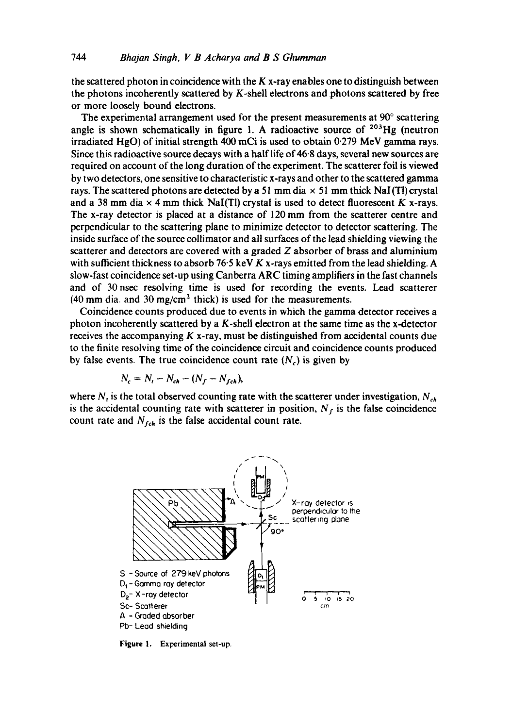the scattered photon in coincidence with the  $K$  x-ray enables one to distinguish between the photons incoherently scattered by K-shell electrons and photons scattered by free or more loosely bound electrons.

The experimental arrangement used for the present measurements at  $90^\circ$  scattering angle is shown schematically in figure 1. A radioactive source of  $203Hg$  (neutron irradiated HgO) of initial strength 400 mCi is used to obtain 0-279 MeV gamma rays. Since this radioactive source decays with a half life of 46.8 days, several new sources are required on account of the long duration of the experiment. The scatterer foil is viewed by two detectors, one sensitive to characteristic x-rays and other to the scattered gamma rays. The scattered photons are detected by a 51 mm dia  $\times$  51 mm thick NaI (TI) crystal and a 38 mm dia  $\times$  4 mm thick NaI(TI) crystal is used to detect fluorescent K x-rays. The x-ray detector is placed at a distance of 120 mm from the scatterer centre and perpendicular to the scattering plane to minimize detector to detector scattering. The inside surface of the source collimator and all surfaces of the lead shielding viewing the scatterer and detectors are covered with a graded  $Z$  absorber of brass and aluminium with sufficient thickness to absorb 76.5 keV K x-rays emitted from the lead shielding. A slow-fast coincidence set-up using Canberra ARC timing amplifiers in the fast channels and of 30 nsec resolving time is used for recording the events. Lead scatterer (40 mm dia. and 30 mg/cm<sup>2</sup> thick) is used for the measurements.

Coincidence counts produced due to events in which the gamma detector receives a photon incoherently scattered by a  $K$ -shell electron at the same time as the x-detector receives the accompanying  $K$  x-ray, must be distinguished from accidental counts due to the finite resolving time of the coincidence circuit and coincidence counts produced by false events. The true coincidence count rate  $(N_c)$  is given by

$$
N_c = N_t - N_{ch} - (N_f - N_{fch}),
$$

where  $N<sub>t</sub>$  is the total observed counting rate with the scatterer under investigation,  $N<sub>ch</sub>$ is the accidental counting rate with scatterer in position,  $N_f$  is the false coincidence count rate and  $N_{fch}$  is the false accidental count rate.



**Figure 1. Experimental set-up.**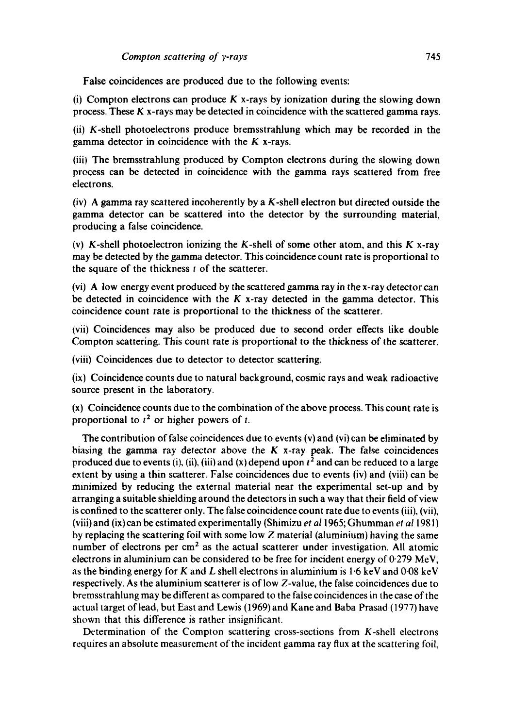False coincidences are produced due to the following events:

(i) Compton electrons can produce  $K$  x-rays by ionization during the slowing down process. These K x-rays may be detected in coincidence with the scattered gamma rays.

(ii) K-shell photoelectrons produce bremsstrahlung which may be recorded in the gamma detector in coincidence with the K x-rays.

(iii) The bremsstrahlung produced by Compton electrons during the slowing down process can be detected in coincidence with the gamma rays scattered from free electrons.

(iv) A gamma ray scattered incoherently by a K-shell electron but directed outside the gamma detector can be scattered into the detector by the surrounding material, producing a false coincidence.

(v) K-shell photoelectron ionizing the K-shell of some other atom, and this K x-ray may be detected by the gamma detector. This coincidence count rate is proportional to the square of the thickness  $t$  of the scatterer.

(vi) A low energy event produced by the scattered gamma ray in the x-ray detector can be detected in coincidence with the  $K$  x-ray detected in the gamma detector. This coincidence count rate is proportional to the thickness of the scatterer.

(vii) Coincidences may also be produced due to second order effects like double Compton scattering. This count rate is proportional to the thickness of the scatterer,

(viii) Coincidences due to detector to detector scattering.

(ix) Coincidence counts due to natural background, cosmic rays and weak radioactive source present in the laboratory.

(x) Coincidence counts due to the combination of the above process. This count rate is proportional to  $t^2$  or higher powers of t.

The contribution of false coincidences due to events (v) and (vi) can be eliminated by biasing the gamma ray detector above the  $K$  x-ray peak. The false coincidences produced due to events (i), (ii), (iii) and (x) depend upon  $t^2$  and can be reduced to a large extent by using a thin scatterer. False coincidences due to events (iv) and (viii) can be minimized by reducing the external material near the experimental set-up and by arranging a suitable shielding around the detectors in such a way that their field of view is confined to the scatterer only. The false coincidence count rate due to events (iii), (vii), (viii) and (ix) can be estimated experimentally (Shimizu *et al* 1965; Ghumman *et al* 1981) by replacing the scattering foil with some low Z material (aluminium) having the same number of electrons per  $\text{cm}^2$  as the actual scatterer under investigation. All atomic electrons in aluminium can be considered to be free for incident energy of 0-279 MeV, as the binding energy for K and L shell electrons in aluminium is  $1.6 \text{ keV}$  and  $0.08 \text{ keV}$ respectively. As the aluminium scatterer is of low Z-value, the false coincidences due to bremsstrahlung may be different as compared to the false coincidences in the case of the actual target of lead, but East and Lewis (1969) and Kane and Baba Prasad (1977) have shown that this difference is rather insignificant.

Determination of the Compton scattering cross-sections from  $K$ -shell electrons requires an absolute measurement of the incident gamma ray flux at the scattering foil,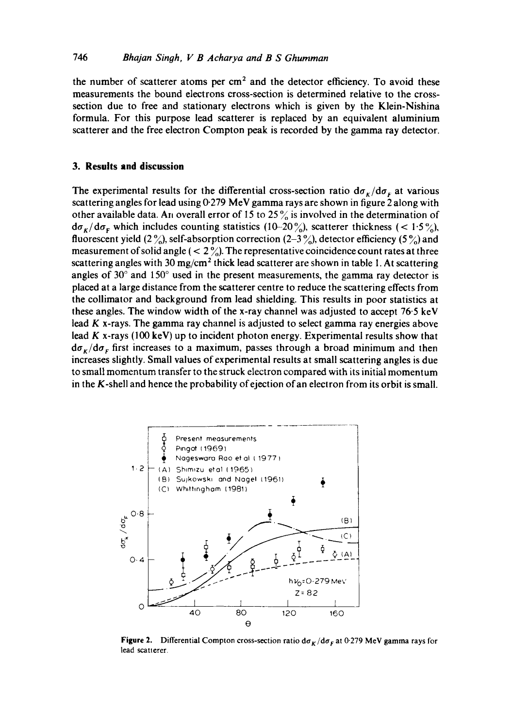the number of scatterer atoms per  $cm<sup>2</sup>$  and the detector efficiency. To avoid these measurements the bound electrons cross-section is determined relative to the crosssection due to free and stationary electrons which is given by the Klein-Nishina formula. For this purpose lead scatterer is replaced by an equivalent aluminium scatterer and the free electron Compton peak is recorded by the gamma ray detector.

## **3. Results and discussion**

The experimental results for the differential cross-section ratio  $d\sigma_K/d\sigma_F$  at various scattering angles for lead using 0-279 MeV gamma rays are shown in figure 2 along with other available data. An overall error of 15 to 25% is involved in the determination of  $d\sigma_{K}/d\sigma_{F}$  which includes counting statistics (10-20%), scatterer thickness (< 1.5%), fluorescent yield (2%), self-absorption correction (2-3%), detector efficiency (5%) and measurement of solid angle  $(< 2\frac{9}{20})$ . The representative coincidence count rates at three scattering angles with 30 mg/cm<sup>2</sup> thick lead scatterer are shown in table 1. At scattering angles of  $30^{\circ}$  and  $150^{\circ}$  used in the present measurements, the gamma ray detector is placed at a large distance from the scatterer centre to reduce the scattering effects from the collimator and background from lead shielding. This results in poor statistics at these angles. The window width of the x-ray channel was adjusted to accept 76.5 keV lead K x-rays. The gamma ray channel is adjusted to select gamma ray energies above lead  $K$  x-rays (100 keV) up to incident photon energy. Experimental results show that  $d\sigma_{\kappa}/d\sigma_{\rm F}$  first increases to a maximum, passes through a broad minimum and then increases slightly. Small values of experimental results at small scattering angles is due to small momentum transfer to the struck electron compared with its initial momentum in the K-shell and hence the probability of ejection of an electron from its orbit is small.



Figure 2. Differential Compton cross-section ratio do  $K/d\sigma_F$  at 0.279 MeV gamma rays for lead scatterer.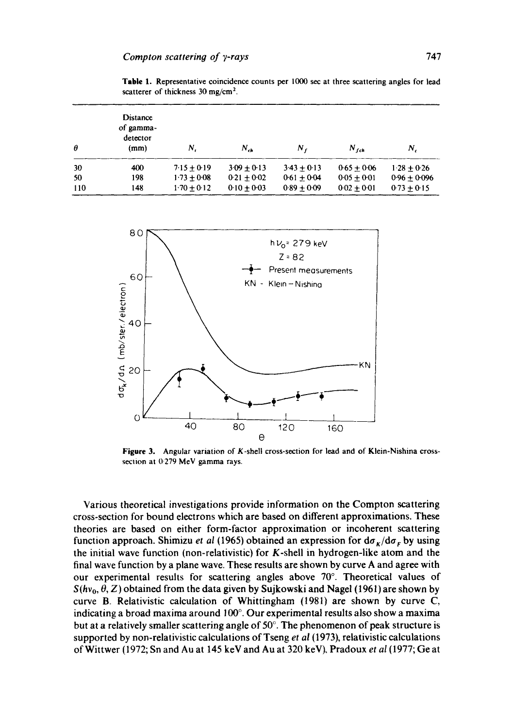**Table I. Representative coincidence counts per 1000 sec at three scattering angles for lead scatterer of thickness 30 mg/cm 2.** 

| $\theta$ | <b>Distance</b><br>of gamma-<br>detector<br>(mm) | N.            | $N_{\rm ch}$    | Ν,            | $N_{\text{tot}}$ | Ν,             |
|----------|--------------------------------------------------|---------------|-----------------|---------------|------------------|----------------|
| 30       | 400                                              | $7.15 + 0.19$ | $3.09 + 0.13$   | $343 + 013$   | $0.65 + 0.06$    | $1.28 + 0.26$  |
| 50       | 198                                              | $1.73 + 0.08$ | $0.21 + 0.02$   | $0.61 + 0.04$ | $0.05 + 0.01$    | $0.96 + 0.096$ |
| 110      | 148                                              | $1.70 + 0.12$ | $0.10 \pm 0.03$ | $0.89 + 0.09$ | $0.02 + 0.01$    | $0.73 + 0.15$  |



**Figure 3. Angular variation of K-shell cross-section for lead and of Klein-Nishina crossseclion at 0.279 MeV gamma rays.** 

**Various theoretical investigations provide information on the Compton scattering cross-section for bound electrons which are based on different approximations. These theories are based on either form-factor approximation or incoherent scattering function approach. Shimizu** *et al* **(1965) obtained an expression for**  $d\sigma_K/d\sigma_F$  **by using the initial wave function (non-relativistic) for K-shell in hydrogen-like atom and the final wave function by a plane wave. These results are shown by curve A and agree with**  our experimental results for scattering angles above 70°. Theoretical values of  $S(hv_0, \theta, Z)$  obtained from the data given by Sujkowski and Nagel (1961) are shown by **curve B. Relativistic calculation of Whittingham (1981) are shown by curve C,**  indicating a broad maxima around 100°. Our experimental results also show a maxima but at a relatively smaller scattering angle of 50°. The phenomenon of peak structure is **supported by non-relativistic calculations of Tseng** *et al* **(1973), relativistic calculations of Wittwer (1972; Sn and Au at 145 keV and Au at 320 keV), Pradoux** *et al* **(1977; Ge at**